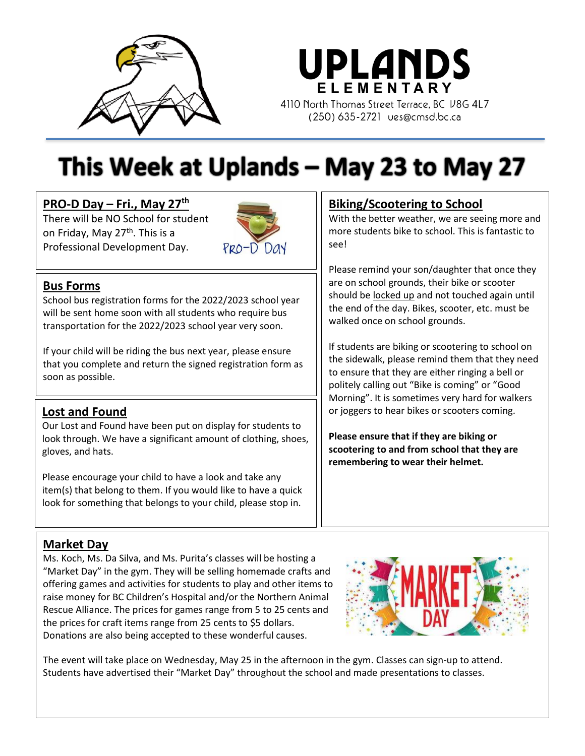

**UPLANDS** ELEMENTARY 4110 North Thomas Street Terrace, BC V8G 4L7 (250) 635-2721 ues@cmsd.bc.ca

# This Week at Uplands – May 23 to May 27

# **PRO-D Day – Fri., May 27 th**

There will be NO School for student on Friday, May 27<sup>th</sup>. This is a Professional Development Day.



# **Bus Forms**

School bus registration forms for the 2022/2023 school year will be sent home soon with all students who require bus transportation for the 2022/2023 school year very soon.

If your child will be riding the bus next year, please ensure that you complete and return the signed registration form as soon as possible.

# **Lost and Found**

Our Lost and Found have been put on display for students to look through. We have a significant amount of clothing, shoes, gloves, and hats.

Please encourage your child to have a look and take any item(s) that belong to them. If you would like to have a quick look for something that belongs to your child, please stop in.

# **Biking/Scootering to School**

With the better weather, we are seeing more and more students bike to school. This is fantastic to see!

Please remind your son/daughter that once they are on school grounds, their bike or scooter should be locked up and not touched again until the end of the day. Bikes, scooter, etc. must be walked once on school grounds.

If students are biking or scootering to school on the sidewalk, please remind them that they need to ensure that they are either ringing a bell or politely calling out "Bike is coming" or "Good Morning". It is sometimes very hard for walkers or joggers to hear bikes or scooters coming.

**Please ensure that if they are biking or scootering to and from school that they are remembering to wear their helmet.**

# **Market Day**

Ms. Koch, Ms. Da Silva, and Ms. Purita's classes will be hosting a "Market Day" in the gym. They will be selling homemade crafts and offering games and activities for students to play and other items to raise money for BC Children's Hospital and/or the Northern Animal Rescue Alliance. The prices for games range from 5 to 25 cents and the prices for craft items range from 25 cents to \$5 dollars. Donations are also being accepted to these wonderful causes.



The event will take place on Wednesday, May 25 in the afternoon in the gym. Classes can sign-up to attend. Students have advertised their "Market Day" throughout the school and made presentations to classes.